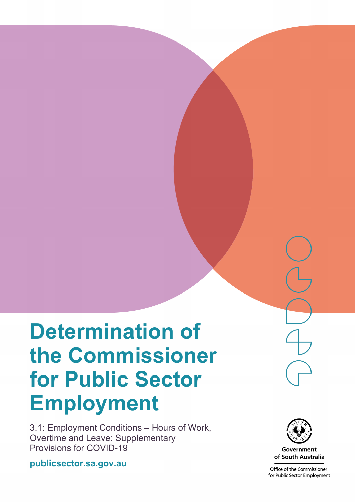# **Determination of the Commissioner for Public Sector Employment**

3.1: Employment Conditions – Hours of Work, Overtime and Leave: Supplementary Provisions for COVID-19

**publicsector.sa.gov.au**



Government of South Australia

Office of the Commissioner for Public Sector Employment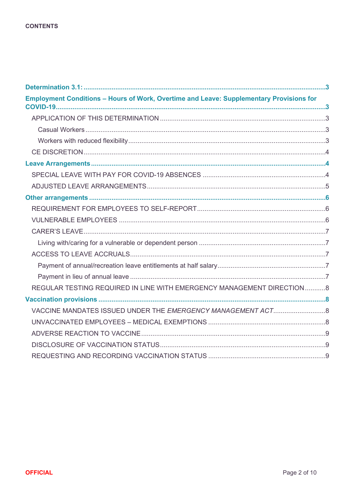| Employment Conditions - Hours of Work, Overtime and Leave: Supplementary Provisions for |  |
|-----------------------------------------------------------------------------------------|--|
|                                                                                         |  |
|                                                                                         |  |
|                                                                                         |  |
|                                                                                         |  |
|                                                                                         |  |
|                                                                                         |  |
|                                                                                         |  |
|                                                                                         |  |
|                                                                                         |  |
|                                                                                         |  |
|                                                                                         |  |
|                                                                                         |  |
|                                                                                         |  |
|                                                                                         |  |
|                                                                                         |  |
| REGULAR TESTING REQUIRED IN LINE WITH EMERGENCY MANAGEMENT DIRECTION8                   |  |
|                                                                                         |  |
|                                                                                         |  |
|                                                                                         |  |
|                                                                                         |  |
|                                                                                         |  |
|                                                                                         |  |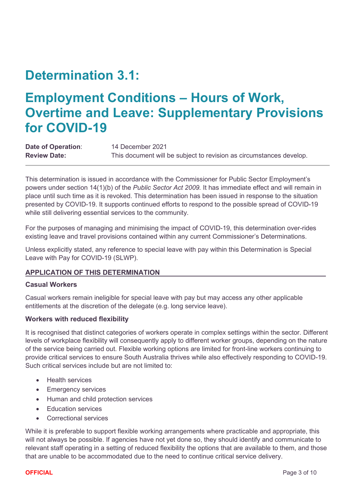### **Determination 3.1:**

### **Employment Conditions – Hours of Work, Overtime and Leave: Supplementary Provisions for COVID-19**

**Date of Operation:** 14 December 2021 **Review Date:** This document will be subject to revision as circumstances develop.

This determination is issued in accordance with the Commissioner for Public Sector Employment's powers under section 14(1)(b) of the *Public Sector Act 2009.* It has immediate effect and will remain in place until such time as it is revoked. This determination has been issued in response to the situation presented by COVID-19. It supports continued efforts to respond to the possible spread of COVID-19 while still delivering essential services to the community.

For the purposes of managing and minimising the impact of COVID-19, this determination over-rides existing leave and travel provisions contained within any current Commissioner's Determinations.

Unless explicitly stated, any reference to special leave with pay within this Determination is Special Leave with Pay for COVID-19 (SLWP).

#### **APPLICATION OF THIS DETERMINATION**

#### **Casual Workers**

Casual workers remain ineligible for special leave with pay but may access any other applicable entitlements at the discretion of the delegate (e.g. long service leave).

#### **Workers with reduced flexibility**

It is recognised that distinct categories of workers operate in complex settings within the sector. Different levels of workplace flexibility will consequently apply to different worker groups, depending on the nature of the service being carried out. Flexible working options are limited for front-line workers continuing to provide critical services to ensure South Australia thrives while also effectively responding to COVID-19. Such critical services include but are not limited to:

- Health services
- Emergency services
- Human and child protection services
- Education services
- Correctional services

While it is preferable to support flexible working arrangements where practicable and appropriate, this will not always be possible. If agencies have not yet done so, they should identify and communicate to relevant staff operating in a setting of reduced flexibility the options that are available to them, and those that are unable to be accommodated due to the need to continue critical service delivery.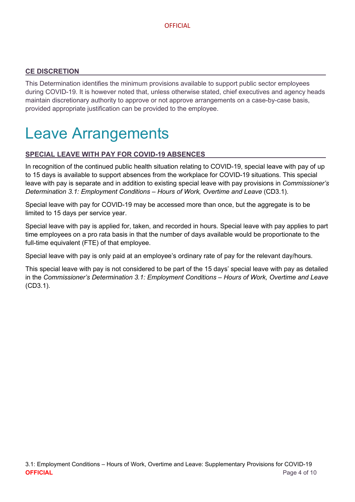#### **CE DISCRETION**

This Determination identifies the minimum provisions available to support public sector employees during COVID-19. It is however noted that, unless otherwise stated, chief executives and agency heads maintain discretionary authority to approve or not approve arrangements on a case-by-case basis, provided appropriate justification can be provided to the employee.

### Leave Arrangements

#### **SPECIAL LEAVE WITH PAY FOR COVID-19 ABSENCES**

In recognition of the continued public health situation relating to COVID-19, special leave with pay of up to 15 days is available to support absences from the workplace for COVID-19 situations. This special leave with pay is separate and in addition to existing special leave with pay provisions in *Commissioner's Determination 3.1: Employment Conditions – Hours of Work, Overtime and Leave* (CD3.1).

Special leave with pay for COVID-19 may be accessed more than once, but the aggregate is to be limited to 15 days per service year.

Special leave with pay is applied for, taken, and recorded in hours. Special leave with pay applies to part time employees on a pro rata basis in that the number of days available would be proportionate to the full-time equivalent (FTE) of that employee.

Special leave with pay is only paid at an employee's ordinary rate of pay for the relevant day/hours.

This special leave with pay is not considered to be part of the 15 days' special leave with pay as detailed in the *Commissioner's Determination 3.1: Employment Conditions – Hours of Work, Overtime and Leave* (CD3.1).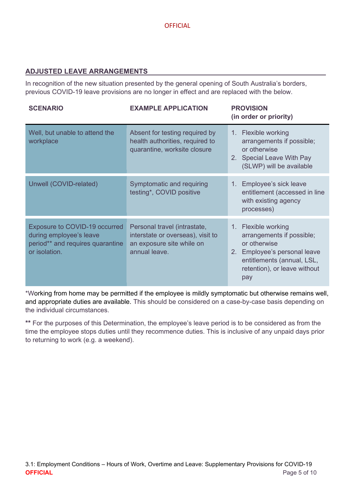#### **ADJUSTED LEAVE ARRANGEMENTS**

In recognition of the new situation presented by the general opening of South Australia's borders, previous COVID-19 leave provisions are no longer in effect and are replaced with the below.

| <b>SCENARIO</b>                                                                                               | <b>EXAMPLE APPLICATION</b>                                                                                      | <b>PROVISION</b><br>(in order or priority)                                                                                                                            |
|---------------------------------------------------------------------------------------------------------------|-----------------------------------------------------------------------------------------------------------------|-----------------------------------------------------------------------------------------------------------------------------------------------------------------------|
| Well, but unable to attend the<br>workplace                                                                   | Absent for testing required by<br>health authorities, required to<br>quarantine, worksite closure               | 1. Flexible working<br>arrangements if possible;<br>or otherwise<br>2. Special Leave With Pay<br>(SLWP) will be available                                             |
| Unwell (COVID-related)                                                                                        | Symptomatic and requiring<br>testing*, COVID positive                                                           | 1. Employee's sick leave<br>entitlement (accessed in line<br>with existing agency<br>processes)                                                                       |
| Exposure to COVID-19 occurred<br>during employee's leave<br>period** and requires quarantine<br>or isolation. | Personal travel (intrastate,<br>interstate or overseas), visit to<br>an exposure site while on<br>annual leave. | 1. Flexible working<br>arrangements if possible;<br>or otherwise<br>2. Employee's personal leave<br>entitlements (annual, LSL,<br>retention), or leave without<br>pay |

\*Working from home may be permitted if the employee is mildly symptomatic but otherwise remains well, and appropriate duties are available. This should be considered on a case-by-case basis depending on the individual circumstances.

**\*\*** For the purposes of this Determination, the employee's leave period is to be considered as from the time the employee stops duties until they recommence duties. This is inclusive of any unpaid days prior to returning to work (e.g. a weekend).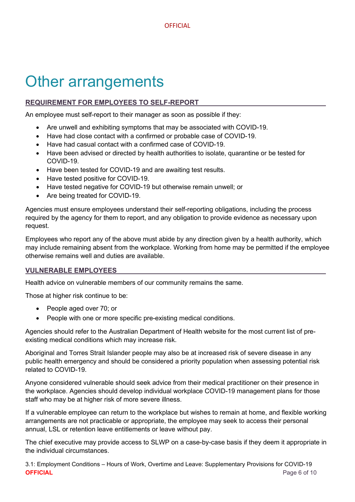## Other arrangements

### **REQUIREMENT FOR EMPLOYEES TO SELF-REPORT**

An employee must self-report to their manager as soon as possible if they:

- Are unwell and exhibiting symptoms that may be associated with COVID-19.
- Have had close contact with a confirmed or probable case of COVID-19.
- Have had casual contact with a confirmed case of COVID-19.
- Have been advised or directed by health authorities to isolate, quarantine or be tested for COVID-19.
- Have been tested for COVID-19 and are awaiting test results.
- Have tested positive for COVID-19.
- Have tested negative for COVID-19 but otherwise remain unwell; or
- Are being treated for COVID-19.

Agencies must ensure employees understand their self-reporting obligations, including the process required by the agency for them to report, and any obligation to provide evidence as necessary upon request.

Employees who report any of the above must abide by any direction given by a health authority, which may include remaining absent from the workplace. Working from home may be permitted if the employee otherwise remains well and duties are available.

#### **VULNERABLE EMPLOYEES**

Health advice on vulnerable members of our community remains the same.

Those at higher risk continue to be:

- People aged over 70; or
- People with one or more specific pre-existing medical conditions.

Agencies should refer to the Australian Department of Health website for the most current list of preexisting medical conditions which may increase risk.

Aboriginal and Torres Strait Islander people may also be at increased risk of severe disease in any public health emergency and should be considered a priority population when assessing potential risk related to COVID-19.

Anyone considered vulnerable should seek advice from their medical practitioner on their presence in the workplace. Agencies should develop individual workplace COVID-19 management plans for those staff who may be at higher risk of more severe illness.

If a vulnerable employee can return to the workplace but wishes to remain at home, and flexible working arrangements are not practicable or appropriate, the employee may seek to access their personal annual, LSL or retention leave entitlements or leave without pay.

The chief executive may provide access to SLWP on a case-by-case basis if they deem it appropriate in the individual circumstances. 

3.1: Employment Conditions – Hours of Work, Overtime and Leave: Supplementary Provisions for COVID-19 **OFFICIAL** Page 6 of 10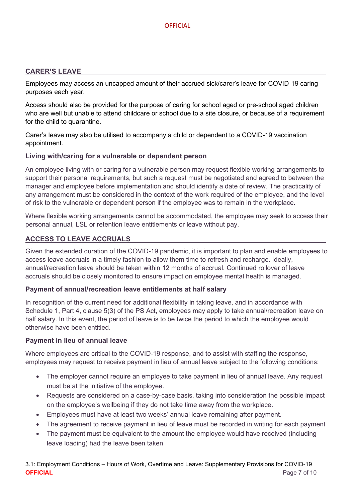#### **CARER'S LEAVE**

Employees may access an uncapped amount of their accrued sick/carer's leave for COVID-19 caring purposes each year.

Access should also be provided for the purpose of caring for school aged or pre-school aged children who are well but unable to attend childcare or school due to a site closure, or because of a requirement for the child to quarantine.

Carer's leave may also be utilised to accompany a child or dependent to a COVID-19 vaccination appointment.

#### **Living with/caring for a vulnerable or dependent person**

An employee living with or caring for a vulnerable person may request flexible working arrangements to support their personal requirements, but such a request must be negotiated and agreed to between the manager and employee before implementation and should identify a date of review. The practicality of any arrangement must be considered in the context of the work required of the employee, and the level of risk to the vulnerable or dependent person if the employee was to remain in the workplace.

Where flexible working arrangements cannot be accommodated, the employee may seek to access their personal annual, LSL or retention leave entitlements or leave without pay.

#### **ACCESS TO LEAVE ACCRUALS**

Given the extended duration of the COVID-19 pandemic, it is important to plan and enable employees to access leave accruals in a timely fashion to allow them time to refresh and recharge. Ideally, annual/recreation leave should be taken within 12 months of accrual. Continued rollover of leave accruals should be closely monitored to ensure impact on employee mental health is managed.

#### **Payment of annual/recreation leave entitlements at half salary**

In recognition of the current need for additional flexibility in taking leave, and in accordance with Schedule 1, Part 4, clause 5(3) of the PS Act, employees may apply to take annual/recreation leave on half salary. In this event, the period of leave is to be twice the period to which the employee would otherwise have been entitled.

#### **Payment in lieu of annual leave**

Where employees are critical to the COVID-19 response, and to assist with staffing the response, employees may request to receive payment in lieu of annual leave subject to the following conditions:

- The employer cannot require an employee to take payment in lieu of annual leave. Any request must be at the initiative of the employee.
- Requests are considered on a case-by-case basis, taking into consideration the possible impact on the employee's wellbeing if they do not take time away from the workplace.
- Employees must have at least two weeks' annual leave remaining after payment.
- The agreement to receive payment in lieu of leave must be recorded in writing for each payment
- The payment must be equivalent to the amount the employee would have received (including leave loading) had the leave been taken

3.1: Employment Conditions – Hours of Work, Overtime and Leave: Supplementary Provisions for COVID-19 **OFFICIAL** Page 7 of 10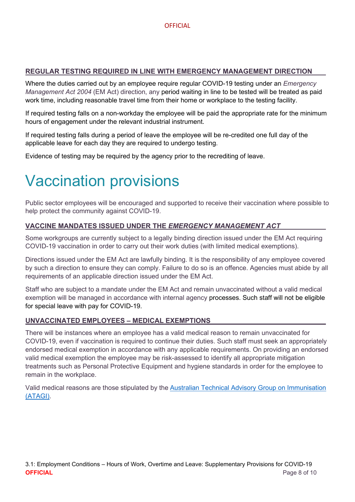#### **REGULAR TESTING REQUIRED IN LINE WITH EMERGENCY MANAGEMENT DIRECTION**

Where the duties carried out by an employee require regular COVID-19 testing under an *Emergency Management Act 2004* (EM Act) direction, any period waiting in line to be tested will be treated as paid work time, including reasonable travel time from their home or workplace to the testing facility.

If required testing falls on a non-workday the employee will be paid the appropriate rate for the minimum hours of engagement under the relevant industrial instrument.

If required testing falls during a period of leave the employee will be re-credited one full day of the applicable leave for each day they are required to undergo testing.

Evidence of testing may be required by the agency prior to the recrediting of leave.

### Vaccination provisions

Public sector employees will be encouraged and supported to receive their vaccination where possible to help protect the community against COVID-19.

#### **VACCINE MANDATES ISSUED UNDER THE** *EMERGENCY MANAGEMENT ACT*

Some workgroups are currently subject to a legally binding direction issued under the EM Act requiring COVID-19 vaccination in order to carry out their work duties (with limited medical exemptions).

Directions issued under the EM Act are lawfully binding. It is the responsibility of any employee covered by such a direction to ensure they can comply. Failure to do so is an offence. Agencies must abide by all requirements of an applicable direction issued under the EM Act.

Staff who are subject to a mandate under the EM Act and remain unvaccinated without a valid medical exemption will be managed in accordance with internal agency processes. Such staff will not be eligible for special leave with pay for COVID-19.

#### **UNVACCINATED EMPLOYEES – MEDICAL EXEMPTIONS**

There will be instances where an employee has a valid medical reason to remain unvaccinated for COVID-19, even if vaccination is required to continue their duties. Such staff must seek an appropriately endorsed medical exemption in accordance with any applicable requirements. On providing an endorsed valid medical exemption the employee may be risk-assessed to identify all appropriate mitigation treatments such as Personal Protective Equipment and hygiene standards in order for the employee to remain in the workplace.

Valid medical reasons are those stipulated by the [Australian Technical Advisory Group on Immunisation](https://www.sahealth.sa.gov.au/wps/wcm/connect/public+content/sa+health+internet/conditions/infectious+diseases/covid-19/health+professionals/covid-19+advice+for+health+professionals/covid-19+vaccination+clinical+information)  [\(ATAGI\).](https://www.sahealth.sa.gov.au/wps/wcm/connect/public+content/sa+health+internet/conditions/infectious+diseases/covid-19/health+professionals/covid-19+advice+for+health+professionals/covid-19+vaccination+clinical+information)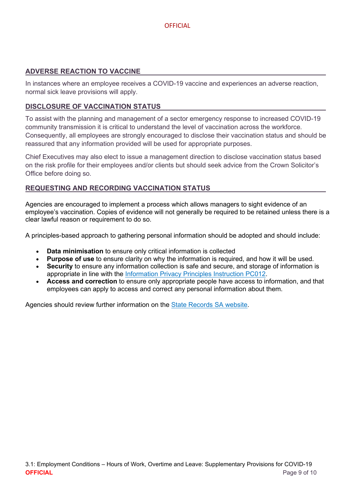#### **ADVERSE REACTION TO VACCINE**

In instances where an employee receives a COVID-19 vaccine and experiences an adverse reaction, normal sick leave provisions will apply.

#### **DISCLOSURE OF VACCINATION STATUS**

To assist with the planning and management of a sector emergency response to increased COVID-19 community transmission it is critical to understand the level of vaccination across the workforce. Consequently, all employees are strongly encouraged to disclose their vaccination status and should be reassured that any information provided will be used for appropriate purposes.

Chief Executives may also elect to issue a management direction to disclose vaccination status based on the risk profile for their employees and/or clients but should seek advice from the Crown Solicitor's Office before doing so.

#### **REQUESTING AND RECORDING VACCINATION STATUS**

Agencies are encouraged to implement a process which allows managers to sight evidence of an employee's vaccination. Copies of evidence will not generally be required to be retained unless there is a clear lawful reason or requirement to do so.

A principles-based approach to gathering personal information should be adopted and should include:

- **Data minimisation** to ensure only critical information is collected
- **Purpose of use** to ensure clarity on why the information is required, and how it will be used.
- **Security** to ensure any information collection is safe and secure, and storage of information is appropriate in line with the [Information Privacy Principles Instruction PC012.](https://www.dpc.sa.gov.au/resources-and-publications/premier-and-cabinet-circulars/DPC-Circular-Information-Privacy-Principles-IPPS-Instruction.pdf)
- **Access and correction** to ensure only appropriate people have access to information, and that employees can apply to access and correct any personal information about them.

Agencies should review further information on the [State Records SA website.](https://archives.sa.gov.au/managing-information/releasing-information-and-privacy/privacy-south-australia/collection-and-handling-personal-information)